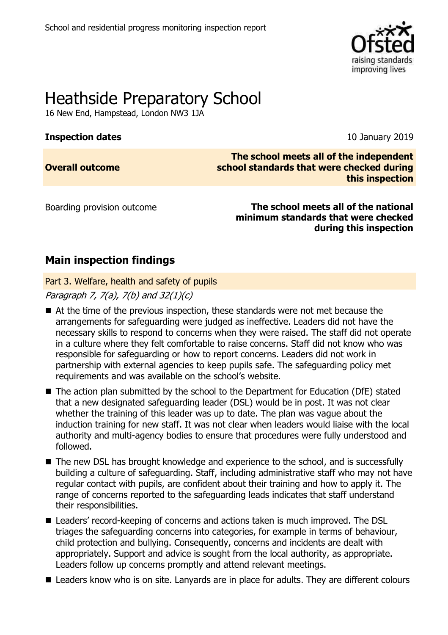

# Heathside Preparatory School

16 New End, Hampstead, London NW3 1JA

# **Inspection dates** 10 January 2019

**Overall outcome**

**The school meets all of the independent school standards that were checked during this inspection**

Boarding provision outcome **The school meets all of the national minimum standards that were checked during this inspection**

# **Main inspection findings**

Part 3. Welfare, health and safety of pupils

Paragraph 7,  $7(a)$ ,  $7(b)$  and  $32(1)(c)$ 

- At the time of the previous inspection, these standards were not met because the arrangements for safeguarding were judged as ineffective. Leaders did not have the necessary skills to respond to concerns when they were raised. The staff did not operate in a culture where they felt comfortable to raise concerns. Staff did not know who was responsible for safeguarding or how to report concerns. Leaders did not work in partnership with external agencies to keep pupils safe. The safeguarding policy met requirements and was available on the school's website.
- The action plan submitted by the school to the Department for Education (DfE) stated that a new designated safeguarding leader (DSL) would be in post. It was not clear whether the training of this leader was up to date. The plan was vague about the induction training for new staff. It was not clear when leaders would liaise with the local authority and multi-agency bodies to ensure that procedures were fully understood and followed.
- The new DSL has brought knowledge and experience to the school, and is successfully building a culture of safeguarding. Staff, including administrative staff who may not have regular contact with pupils, are confident about their training and how to apply it. The range of concerns reported to the safeguarding leads indicates that staff understand their responsibilities.
- Leaders' record-keeping of concerns and actions taken is much improved. The DSL triages the safeguarding concerns into categories, for example in terms of behaviour, child protection and bullying. Consequently, concerns and incidents are dealt with appropriately. Support and advice is sought from the local authority, as appropriate. Leaders follow up concerns promptly and attend relevant meetings.
- Leaders know who is on site. Lanyards are in place for adults. They are different colours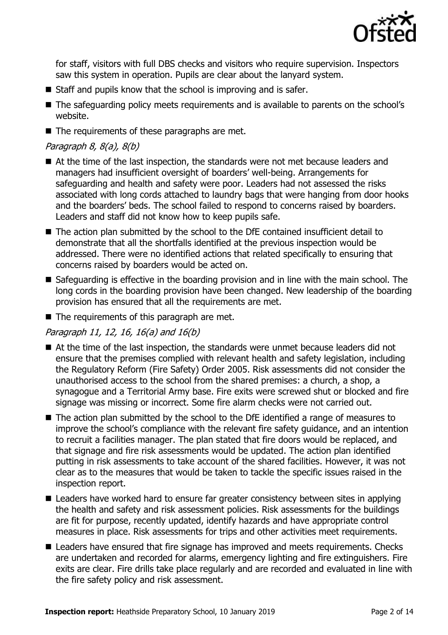

for staff, visitors with full DBS checks and visitors who require supervision. Inspectors saw this system in operation. Pupils are clear about the lanyard system.

- Staff and pupils know that the school is improving and is safer.
- The safeguarding policy meets requirements and is available to parents on the school's website.
- $\blacksquare$  The requirements of these paragraphs are met.

# Paragraph 8, 8(a), 8(b)

- At the time of the last inspection, the standards were not met because leaders and managers had insufficient oversight of boarders' well-being. Arrangements for safeguarding and health and safety were poor. Leaders had not assessed the risks associated with long cords attached to laundry bags that were hanging from door hooks and the boarders' beds. The school failed to respond to concerns raised by boarders. Leaders and staff did not know how to keep pupils safe.
- The action plan submitted by the school to the DfE contained insufficient detail to demonstrate that all the shortfalls identified at the previous inspection would be addressed. There were no identified actions that related specifically to ensuring that concerns raised by boarders would be acted on.
- Safeguarding is effective in the boarding provision and in line with the main school. The long cords in the boarding provision have been changed. New leadership of the boarding provision has ensured that all the requirements are met.
- $\blacksquare$  The requirements of this paragraph are met.

# Paragraph 11, 12, 16, 16(a) and 16(b)

- At the time of the last inspection, the standards were unmet because leaders did not ensure that the premises complied with relevant health and safety legislation, including the Regulatory Reform (Fire Safety) Order 2005. Risk assessments did not consider the unauthorised access to the school from the shared premises: a church, a shop, a synagogue and a Territorial Army base. Fire exits were screwed shut or blocked and fire signage was missing or incorrect. Some fire alarm checks were not carried out.
- The action plan submitted by the school to the DfE identified a range of measures to improve the school's compliance with the relevant fire safety guidance, and an intention to recruit a facilities manager. The plan stated that fire doors would be replaced, and that signage and fire risk assessments would be updated. The action plan identified putting in risk assessments to take account of the shared facilities. However, it was not clear as to the measures that would be taken to tackle the specific issues raised in the inspection report.
- Leaders have worked hard to ensure far greater consistency between sites in applying the health and safety and risk assessment policies. Risk assessments for the buildings are fit for purpose, recently updated, identify hazards and have appropriate control measures in place. Risk assessments for trips and other activities meet requirements.
- Leaders have ensured that fire signage has improved and meets requirements. Checks are undertaken and recorded for alarms, emergency lighting and fire extinguishers. Fire exits are clear. Fire drills take place regularly and are recorded and evaluated in line with the fire safety policy and risk assessment.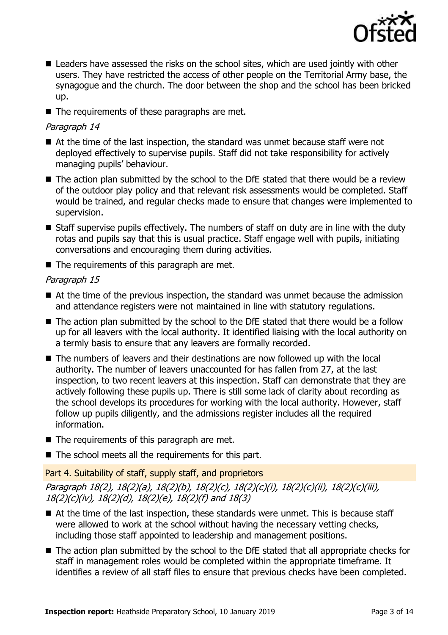

- Leaders have assessed the risks on the school sites, which are used jointly with other users. They have restricted the access of other people on the Territorial Army base, the synagogue and the church. The door between the shop and the school has been bricked up.
- $\blacksquare$  The requirements of these paragraphs are met.

# Paragraph 14

- At the time of the last inspection, the standard was unmet because staff were not deployed effectively to supervise pupils. Staff did not take responsibility for actively managing pupils' behaviour.
- The action plan submitted by the school to the DfE stated that there would be a review of the outdoor play policy and that relevant risk assessments would be completed. Staff would be trained, and regular checks made to ensure that changes were implemented to supervision.
- Staff supervise pupils effectively. The numbers of staff on duty are in line with the duty rotas and pupils say that this is usual practice. Staff engage well with pupils, initiating conversations and encouraging them during activities.
- $\blacksquare$  The requirements of this paragraph are met.

# Paragraph 15

- At the time of the previous inspection, the standard was unmet because the admission and attendance registers were not maintained in line with statutory regulations.
- The action plan submitted by the school to the DfE stated that there would be a follow up for all leavers with the local authority. It identified liaising with the local authority on a termly basis to ensure that any leavers are formally recorded.
- The numbers of leavers and their destinations are now followed up with the local authority. The number of leavers unaccounted for has fallen from 27, at the last inspection, to two recent leavers at this inspection. Staff can demonstrate that they are actively following these pupils up. There is still some lack of clarity about recording as the school develops its procedures for working with the local authority. However, staff follow up pupils diligently, and the admissions register includes all the required information.
- $\blacksquare$  The requirements of this paragraph are met.
- $\blacksquare$  The school meets all the requirements for this part.

# Part 4. Suitability of staff, supply staff, and proprietors

Paragraph 18(2), 18(2)(a), 18(2)(b), 18(2)(c), 18(2)(c)(i), 18(2)(c)(ii), 18(2)(c)(iii), 18(2)(c)(iv), 18(2)(d), 18(2)(e), 18(2)(f) and 18(3)

- At the time of the last inspection, these standards were unmet. This is because staff were allowed to work at the school without having the necessary vetting checks, including those staff appointed to leadership and management positions.
- The action plan submitted by the school to the DfE stated that all appropriate checks for staff in management roles would be completed within the appropriate timeframe. It identifies a review of all staff files to ensure that previous checks have been completed.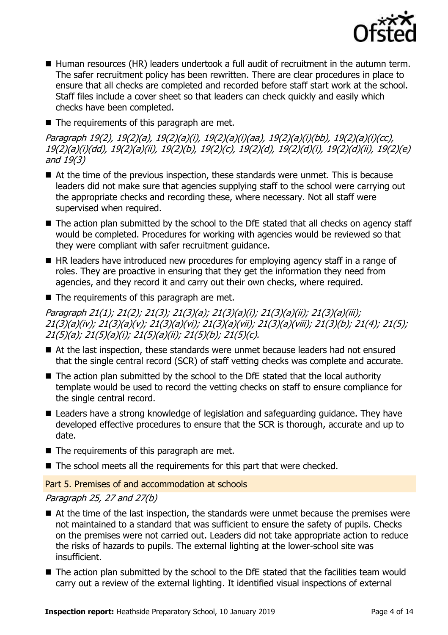

- Human resources (HR) leaders undertook a full audit of recruitment in the autumn term. The safer recruitment policy has been rewritten. There are clear procedures in place to ensure that all checks are completed and recorded before staff start work at the school. Staff files include a cover sheet so that leaders can check quickly and easily which checks have been completed.
- $\blacksquare$  The requirements of this paragraph are met.

Paragraph 19(2), 19(2)(a), 19(2)(a)(i), 19(2)(a)(i)(aa), 19(2)(a)(i)(bb), 19(2)(a)(i)(cc), 19(2)(a)(i)(dd), 19(2)(a)(ii), 19(2)(b), 19(2)(c), 19(2)(d), 19(2)(d)(i), 19(2)(d)(ii), 19(2)(e) and 19(3)

- At the time of the previous inspection, these standards were unmet. This is because leaders did not make sure that agencies supplying staff to the school were carrying out the appropriate checks and recording these, where necessary. Not all staff were supervised when required.
- The action plan submitted by the school to the DfE stated that all checks on agency staff would be completed. Procedures for working with agencies would be reviewed so that they were compliant with safer recruitment guidance.
- HR leaders have introduced new procedures for employing agency staff in a range of roles. They are proactive in ensuring that they get the information they need from agencies, and they record it and carry out their own checks, where required.
- $\blacksquare$  The requirements of this paragraph are met.

Paragraph 21(1); 21(2); 21(3); 21(3)(a); 21(3)(a)(i); 21(3)(a)(ii); 21(3)(a)(iii); 21(3)(a)(iv); 21(3)(a)(v); 21(3)(a)(vi); 21(3)(a)(vii); 21(3)(a)(viii); 21(3)(b); 21(4); 21(5); 21(5)(a); 21(5)(a)(i); 21(5)(a)(ii); 21(5)(b); 21(5)(c).

- At the last inspection, these standards were unmet because leaders had not ensured that the single central record (SCR) of staff vetting checks was complete and accurate.
- $\blacksquare$  The action plan submitted by the school to the DfE stated that the local authority template would be used to record the vetting checks on staff to ensure compliance for the single central record.
- Leaders have a strong knowledge of legislation and safeguarding guidance. They have developed effective procedures to ensure that the SCR is thorough, accurate and up to date.
- $\blacksquare$  The requirements of this paragraph are met.
- The school meets all the requirements for this part that were checked.

Part 5. Premises of and accommodation at schools

# Paragraph 25, 27 and 27(b)

- At the time of the last inspection, the standards were unmet because the premises were not maintained to a standard that was sufficient to ensure the safety of pupils. Checks on the premises were not carried out. Leaders did not take appropriate action to reduce the risks of hazards to pupils. The external lighting at the lower-school site was insufficient.
- The action plan submitted by the school to the DfE stated that the facilities team would carry out a review of the external lighting. It identified visual inspections of external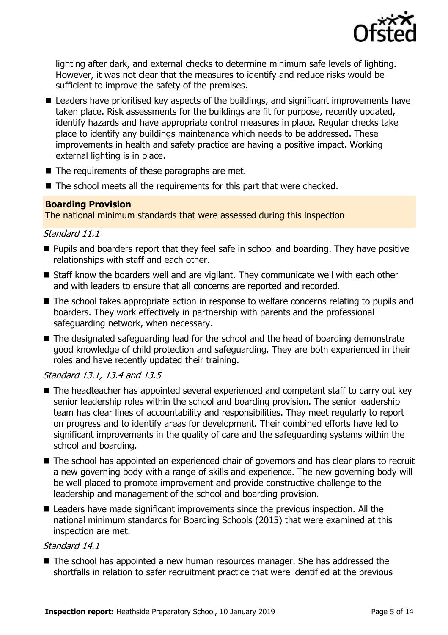

lighting after dark, and external checks to determine minimum safe levels of lighting. However, it was not clear that the measures to identify and reduce risks would be sufficient to improve the safety of the premises.

- Leaders have prioritised key aspects of the buildings, and significant improvements have taken place. Risk assessments for the buildings are fit for purpose, recently updated, identify hazards and have appropriate control measures in place. Regular checks take place to identify any buildings maintenance which needs to be addressed. These improvements in health and safety practice are having a positive impact. Working external lighting is in place.
- $\blacksquare$  The requirements of these paragraphs are met.
- The school meets all the requirements for this part that were checked.

## **Boarding Provision**

The national minimum standards that were assessed during this inspection

## Standard 11.1

- **Pupils and boarders report that they feel safe in school and boarding. They have positive** relationships with staff and each other.
- Staff know the boarders well and are vigilant. They communicate well with each other and with leaders to ensure that all concerns are reported and recorded.
- The school takes appropriate action in response to welfare concerns relating to pupils and boarders. They work effectively in partnership with parents and the professional safeguarding network, when necessary.
- The designated safeguarding lead for the school and the head of boarding demonstrate good knowledge of child protection and safeguarding. They are both experienced in their roles and have recently updated their training.

# Standard 13.1, 13.4 and 13.5

- The headteacher has appointed several experienced and competent staff to carry out key senior leadership roles within the school and boarding provision. The senior leadership team has clear lines of accountability and responsibilities. They meet regularly to report on progress and to identify areas for development. Their combined efforts have led to significant improvements in the quality of care and the safeguarding systems within the school and boarding.
- The school has appointed an experienced chair of governors and has clear plans to recruit a new governing body with a range of skills and experience. The new governing body will be well placed to promote improvement and provide constructive challenge to the leadership and management of the school and boarding provision.
- Leaders have made significant improvements since the previous inspection. All the national minimum standards for Boarding Schools (2015) that were examined at this inspection are met.

### Standard 14.1

■ The school has appointed a new human resources manager. She has addressed the shortfalls in relation to safer recruitment practice that were identified at the previous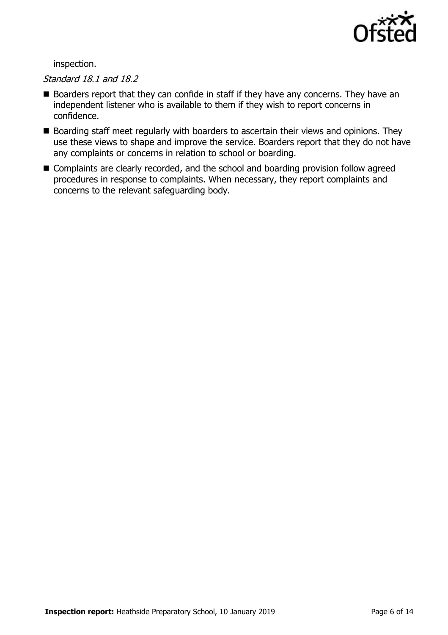

inspection.

# Standard 18.1 and 18.2

- Boarders report that they can confide in staff if they have any concerns. They have an independent listener who is available to them if they wish to report concerns in confidence.
- Boarding staff meet regularly with boarders to ascertain their views and opinions. They use these views to shape and improve the service. Boarders report that they do not have any complaints or concerns in relation to school or boarding.
- Complaints are clearly recorded, and the school and boarding provision follow agreed procedures in response to complaints. When necessary, they report complaints and concerns to the relevant safeguarding body.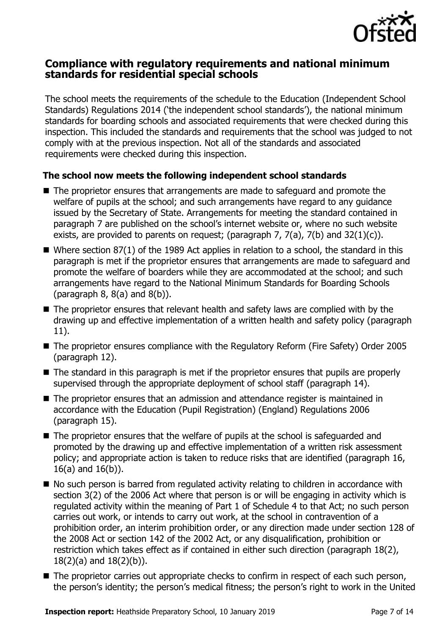

# **Compliance with regulatory requirements and national minimum standards for residential special schools**

The school meets the requirements of the schedule to the Education (Independent School Standards) Regulations 2014 ('the independent school standards'), the national minimum standards for boarding schools and associated requirements that were checked during this inspection. This included the standards and requirements that the school was judged to not comply with at the previous inspection. Not all of the standards and associated requirements were checked during this inspection.

# **The school now meets the following independent school standards**

- The proprietor ensures that arrangements are made to safeguard and promote the welfare of pupils at the school; and such arrangements have regard to any guidance issued by the Secretary of State. Arrangements for meeting the standard contained in paragraph 7 are published on the school's internet website or, where no such website exists, are provided to parents on request; (paragraph  $7$ ,  $7(a)$ ,  $7(b)$  and  $32(1)(c)$ ).
- Where section 87(1) of the 1989 Act applies in relation to a school, the standard in this paragraph is met if the proprietor ensures that arrangements are made to safeguard and promote the welfare of boarders while they are accommodated at the school; and such arrangements have regard to the National Minimum Standards for Boarding Schools (paragraph  $8, 8(a)$  and  $8(b)$ ).
- The proprietor ensures that relevant health and safety laws are complied with by the drawing up and effective implementation of a written health and safety policy (paragraph 11).
- The proprietor ensures compliance with the Regulatory Reform (Fire Safety) Order 2005 (paragraph 12).
- The standard in this paragraph is met if the proprietor ensures that pupils are properly supervised through the appropriate deployment of school staff (paragraph 14).
- The proprietor ensures that an admission and attendance register is maintained in accordance with the Education (Pupil Registration) (England) Regulations 2006 (paragraph 15).
- The proprietor ensures that the welfare of pupils at the school is safeguarded and promoted by the drawing up and effective implementation of a written risk assessment policy; and appropriate action is taken to reduce risks that are identified (paragraph 16, 16(a) and 16(b)).
- No such person is barred from regulated activity relating to children in accordance with section 3(2) of the 2006 Act where that person is or will be engaging in activity which is regulated activity within the meaning of Part 1 of Schedule 4 to that Act; no such person carries out work, or intends to carry out work, at the school in contravention of a prohibition order, an interim prohibition order, or any direction made under section 128 of the 2008 Act or section 142 of the 2002 Act, or any disqualification, prohibition or restriction which takes effect as if contained in either such direction (paragraph 18(2), 18(2)(a) and 18(2)(b)).
- The proprietor carries out appropriate checks to confirm in respect of each such person, the person's identity; the person's medical fitness; the person's right to work in the United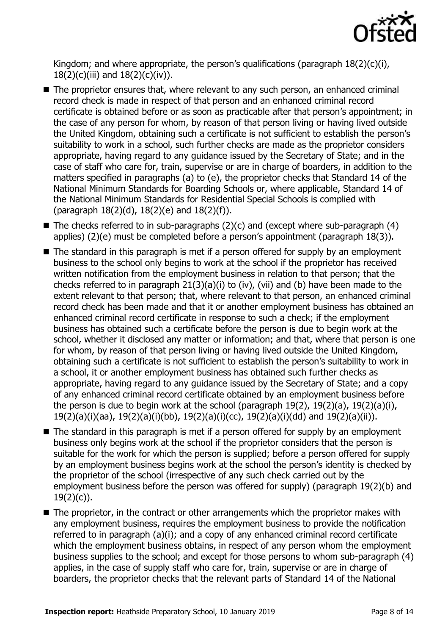

Kingdom; and where appropriate, the person's qualifications (paragraph 18(2)(c)(i), 18(2)(c)(iii) and 18(2)(c)(iv)).

- The proprietor ensures that, where relevant to any such person, an enhanced criminal record check is made in respect of that person and an enhanced criminal record certificate is obtained before or as soon as practicable after that person's appointment; in the case of any person for whom, by reason of that person living or having lived outside the United Kingdom, obtaining such a certificate is not sufficient to establish the person's suitability to work in a school, such further checks are made as the proprietor considers appropriate, having regard to any guidance issued by the Secretary of State; and in the case of staff who care for, train, supervise or are in charge of boarders, in addition to the matters specified in paragraphs (a) to (e), the proprietor checks that Standard 14 of the National Minimum Standards for Boarding Schools or, where applicable, Standard 14 of the National Minimum Standards for Residential Special Schools is complied with (paragraph 18(2)(d), 18(2)(e) and 18(2)(f)).
- $\blacksquare$  The checks referred to in sub-paragraphs (2)(c) and (except where sub-paragraph (4) applies) (2)(e) must be completed before a person's appointment (paragraph 18(3)).
- The standard in this paragraph is met if a person offered for supply by an employment business to the school only begins to work at the school if the proprietor has received written notification from the employment business in relation to that person; that the checks referred to in paragraph 21(3)(a)(i) to (iv), (vii) and (b) have been made to the extent relevant to that person; that, where relevant to that person, an enhanced criminal record check has been made and that it or another employment business has obtained an enhanced criminal record certificate in response to such a check; if the employment business has obtained such a certificate before the person is due to begin work at the school, whether it disclosed any matter or information; and that, where that person is one for whom, by reason of that person living or having lived outside the United Kingdom, obtaining such a certificate is not sufficient to establish the person's suitability to work in a school, it or another employment business has obtained such further checks as appropriate, having regard to any guidance issued by the Secretary of State; and a copy of any enhanced criminal record certificate obtained by an employment business before the person is due to begin work at the school (paragraph 19(2), 19(2)(a), 19(2)(a)(i), 19(2)(a)(i)(aa), 19(2)(a)(i)(bb), 19(2)(a)(i)(cc), 19(2)(a)(i)(dd) and 19(2)(a)(ii)).
- The standard in this paragraph is met if a person offered for supply by an employment business only begins work at the school if the proprietor considers that the person is suitable for the work for which the person is supplied; before a person offered for supply by an employment business begins work at the school the person's identity is checked by the proprietor of the school (irrespective of any such check carried out by the employment business before the person was offered for supply) (paragraph 19(2)(b) and 19(2)(c)).
- The proprietor, in the contract or other arrangements which the proprietor makes with any employment business, requires the employment business to provide the notification referred to in paragraph (a)(i); and a copy of any enhanced criminal record certificate which the employment business obtains, in respect of any person whom the employment business supplies to the school; and except for those persons to whom sub-paragraph (4) applies, in the case of supply staff who care for, train, supervise or are in charge of boarders, the proprietor checks that the relevant parts of Standard 14 of the National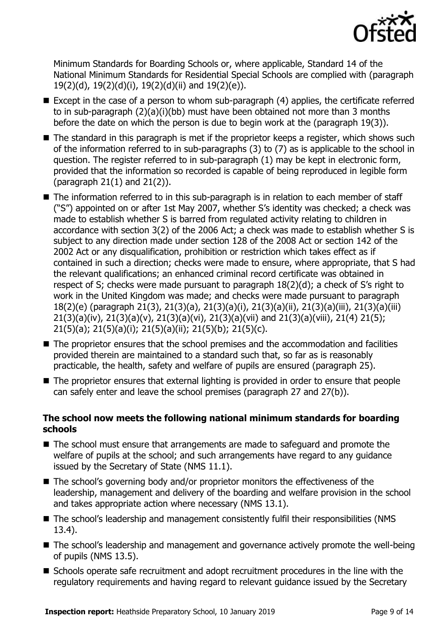

Minimum Standards for Boarding Schools or, where applicable, Standard 14 of the National Minimum Standards for Residential Special Schools are complied with (paragraph 19(2)(d), 19(2)(d)(i), 19(2)(d)(ii) and 19(2)(e)).

- Except in the case of a person to whom sub-paragraph (4) applies, the certificate referred to in sub-paragraph (2)(a)(i)(bb) must have been obtained not more than 3 months before the date on which the person is due to begin work at the (paragraph 19(3)).
- The standard in this paragraph is met if the proprietor keeps a register, which shows such of the information referred to in sub-paragraphs (3) to (7) as is applicable to the school in question. The register referred to in sub-paragraph (1) may be kept in electronic form, provided that the information so recorded is capable of being reproduced in legible form (paragraph 21(1) and 21(2)).
- The information referred to in this sub-paragraph is in relation to each member of staff ("S") appointed on or after 1st May 2007, whether S's identity was checked; a check was made to establish whether S is barred from regulated activity relating to children in accordance with section 3(2) of the 2006 Act; a check was made to establish whether S is subject to any direction made under section 128 of the 2008 Act or section 142 of the 2002 Act or any disqualification, prohibition or restriction which takes effect as if contained in such a direction; checks were made to ensure, where appropriate, that S had the relevant qualifications; an enhanced criminal record certificate was obtained in respect of S; checks were made pursuant to paragraph 18(2)(d); a check of S's right to work in the United Kingdom was made; and checks were made pursuant to paragraph 18(2)(e) (paragraph 21(3), 21(3)(a), 21(3)(a)(i), 21(3)(a)(ii), 21(3)(a)(iii), 21(3)(a)(iii) 21(3)(a)(iv), 21(3)(a)(v), 21(3)(a)(vi), 21(3)(a)(vii) and 21(3)(a)(viii), 21(4) 21(5); 21(5)(a); 21(5)(a)(i); 21(5)(a)(ii); 21(5)(b); 21(5)(c).
- The proprietor ensures that the school premises and the accommodation and facilities provided therein are maintained to a standard such that, so far as is reasonably practicable, the health, safety and welfare of pupils are ensured (paragraph 25).
- The proprietor ensures that external lighting is provided in order to ensure that people can safely enter and leave the school premises (paragraph 27 and 27(b)).

# **The school now meets the following national minimum standards for boarding schools**

- The school must ensure that arrangements are made to safeguard and promote the welfare of pupils at the school; and such arrangements have regard to any guidance issued by the Secretary of State (NMS 11.1).
- The school's governing body and/or proprietor monitors the effectiveness of the leadership, management and delivery of the boarding and welfare provision in the school and takes appropriate action where necessary (NMS 13.1).
- The school's leadership and management consistently fulfil their responsibilities (NMS 13.4).
- The school's leadership and management and governance actively promote the well-being of pupils (NMS 13.5).
- Schools operate safe recruitment and adopt recruitment procedures in the line with the regulatory requirements and having regard to relevant guidance issued by the Secretary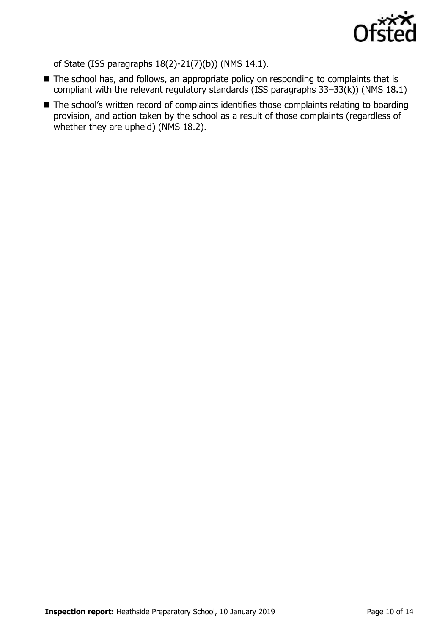

of State (ISS paragraphs 18(2)-21(7)(b)) (NMS 14.1).

- The school has, and follows, an appropriate policy on responding to complaints that is compliant with the relevant regulatory standards (ISS paragraphs 33–33(k)) (NMS 18.1)
- The school's written record of complaints identifies those complaints relating to boarding provision, and action taken by the school as a result of those complaints (regardless of whether they are upheld) (NMS 18.2).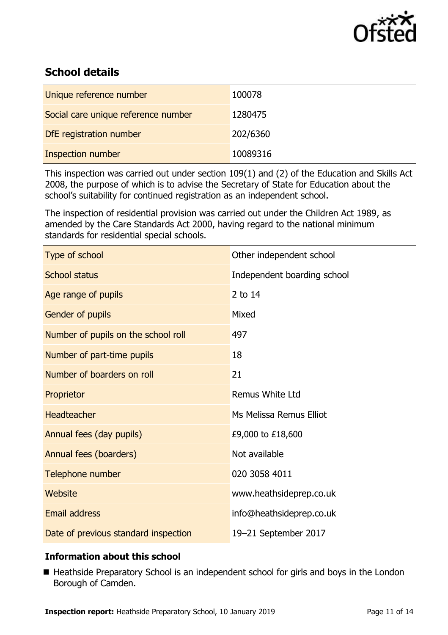

# **School details**

| Unique reference number             | 100078   |
|-------------------------------------|----------|
| Social care unique reference number | 1280475  |
| DfE registration number             | 202/6360 |
| <b>Inspection number</b>            | 10089316 |

This inspection was carried out under section 109(1) and (2) of the Education and Skills Act 2008, the purpose of which is to advise the Secretary of State for Education about the school's suitability for continued registration as an independent school.

The inspection of residential provision was carried out under the Children Act 1989, as amended by the Care Standards Act 2000, having regard to the national minimum standards for residential special schools.

| Type of school                       | Other independent school    |
|--------------------------------------|-----------------------------|
| <b>School status</b>                 | Independent boarding school |
| Age range of pupils                  | 2 to 14                     |
| Gender of pupils                     | Mixed                       |
| Number of pupils on the school roll  | 497                         |
| Number of part-time pupils           | 18                          |
| Number of boarders on roll           | 21                          |
| Proprietor                           | <b>Remus White Ltd</b>      |
| <b>Headteacher</b>                   | Ms Melissa Remus Elliot     |
| Annual fees (day pupils)             | £9,000 to £18,600           |
| Annual fees (boarders)               | Not available               |
| Telephone number                     | 020 3058 4011               |
| Website                              | www.heathsideprep.co.uk     |
| <b>Email address</b>                 | info@heathsideprep.co.uk    |
| Date of previous standard inspection | 19-21 September 2017        |

# **Information about this school**

■ Heathside Preparatory School is an independent school for girls and boys in the London Borough of Camden.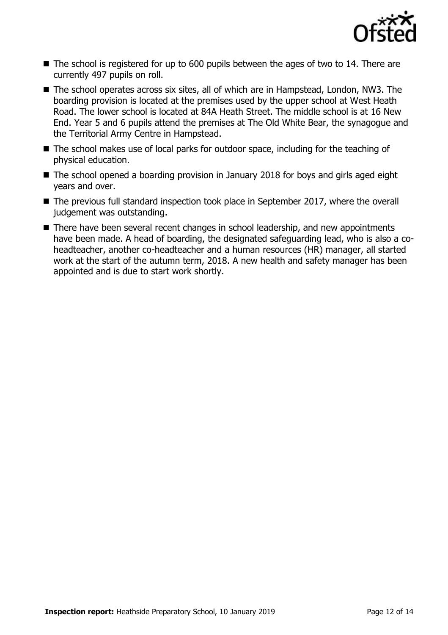

- The school is registered for up to 600 pupils between the ages of two to 14. There are currently 497 pupils on roll.
- The school operates across six sites, all of which are in Hampstead, London, NW3. The boarding provision is located at the premises used by the upper school at West Heath Road. The lower school is located at 84A Heath Street. The middle school is at 16 New End. Year 5 and 6 pupils attend the premises at The Old White Bear, the synagogue and the Territorial Army Centre in Hampstead.
- The school makes use of local parks for outdoor space, including for the teaching of physical education.
- The school opened a boarding provision in January 2018 for boys and girls aged eight years and over.
- The previous full standard inspection took place in September 2017, where the overall judgement was outstanding.
- There have been several recent changes in school leadership, and new appointments have been made. A head of boarding, the designated safeguarding lead, who is also a coheadteacher, another co-headteacher and a human resources (HR) manager, all started work at the start of the autumn term, 2018. A new health and safety manager has been appointed and is due to start work shortly.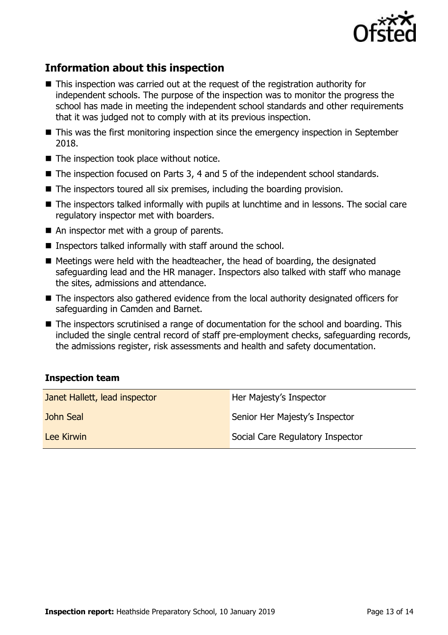

# **Information about this inspection**

- This inspection was carried out at the request of the registration authority for independent schools. The purpose of the inspection was to monitor the progress the school has made in meeting the independent school standards and other requirements that it was judged not to comply with at its previous inspection.
- This was the first monitoring inspection since the emergency inspection in September 2018.
- $\blacksquare$  The inspection took place without notice.
- The inspection focused on Parts 3, 4 and 5 of the independent school standards.
- $\blacksquare$  The inspectors toured all six premises, including the boarding provision.
- The inspectors talked informally with pupils at lunchtime and in lessons. The social care regulatory inspector met with boarders.
- An inspector met with a group of parents.
- Inspectors talked informally with staff around the school.
- $\blacksquare$  Meetings were held with the headteacher, the head of boarding, the designated safeguarding lead and the HR manager. Inspectors also talked with staff who manage the sites, admissions and attendance.
- The inspectors also gathered evidence from the local authority designated officers for safeguarding in Camden and Barnet.
- The inspectors scrutinised a range of documentation for the school and boarding. This included the single central record of staff pre-employment checks, safeguarding records, the admissions register, risk assessments and health and safety documentation.

# **Inspection team**

| Janet Hallett, lead inspector | Her Majesty's Inspector          |
|-------------------------------|----------------------------------|
| John Seal                     | Senior Her Majesty's Inspector   |
| Lee Kirwin                    | Social Care Regulatory Inspector |